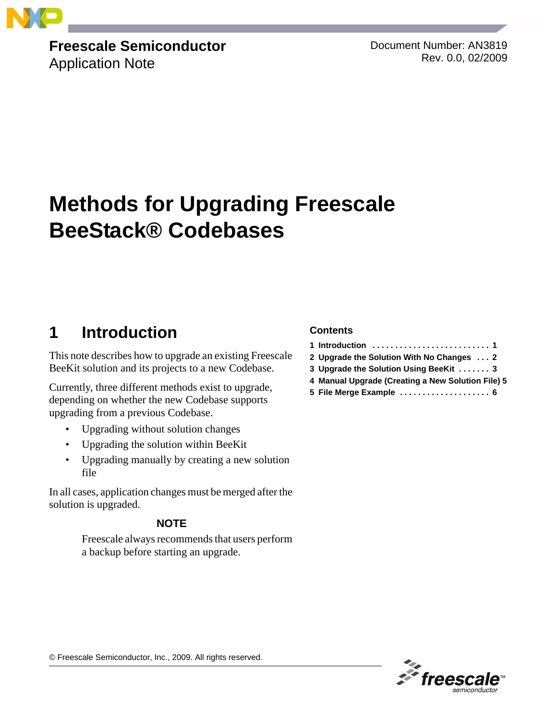

## **Freescale Semiconductor**

Application Note

Document Number: AN3819 Rev. 0.0, 02/2009

# **Methods for Upgrading Freescale BeeStack® Codebases**

### **1 Introduction**

This note describes how to upgrade an existing Freescale BeeKit solution and its projects to a new Codebase.

Currently, three different methods exist to upgrade, depending on whether the new Codebase supports upgrading from a previous Codebase.

- Upgrading without solution changes
- Upgrading the solution within BeeKit
- Upgrading manually by creating a new solution file

In all cases, application changes must be merged after the solution is upgraded.

### **NOTE**

Freescale always recommends that users perform a backup before starting an upgrade.

### **Contents**

- **1 Introduction . . . . . . . . . . . . . . . . . . . . . . . . . . 1**
- **2 Upgrade the Solution With No Changes . . . 2**
- **3 Upgrade the Solution Using BeeKit . . . . . . . 3**
- **4 Manual Upgrade (Creating a New Solution File) 5**
- **5 File Merge Example . . . . . . . . . . . . . . . . . . . . 6**



© Freescale Semiconductor, Inc., 2009. All rights reserved.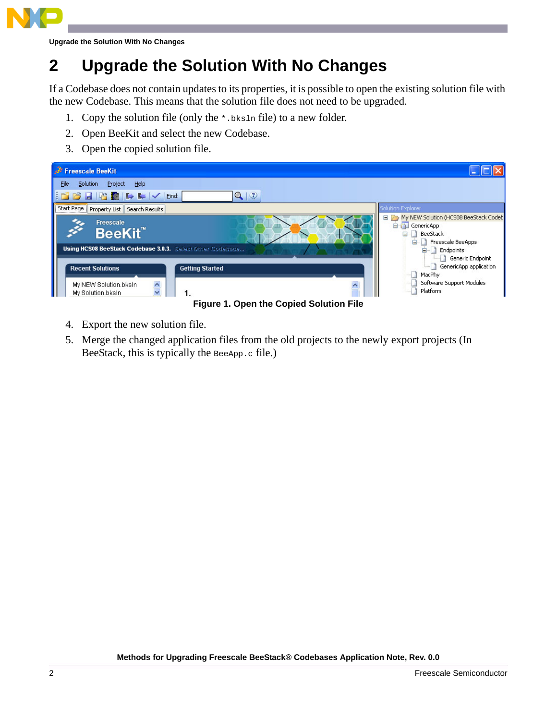

**Upgrade the Solution With No Changes**

## **2 Upgrade the Solution With No Changes**

If a Codebase does not contain updates to its properties, it is possible to open the existing solution file with the new Codebase. This means that the solution file does not need to be upgraded.

- 1. Copy the solution file (only the \*.bksln file) to a new folder.
- 2. Open BeeKit and select the new Codebase.
- 3. Open the copied solution file.

| Freescale BeeKit                                                                                                          |                                                                                                                                                                          |  |  |
|---------------------------------------------------------------------------------------------------------------------------|--------------------------------------------------------------------------------------------------------------------------------------------------------------------------|--|--|
| File<br>Solution<br>Project<br>Help                                                                                       |                                                                                                                                                                          |  |  |
| $Q \rvert \mathcal{D}$<br>$  \mathbf{r}   \geq   \mathbf{r}  $                                                            |                                                                                                                                                                          |  |  |
| Start Page   Property List   Search Results                                                                               | Solution Explorer                                                                                                                                                        |  |  |
| Freescale<br><b>BeeKit</b><br>Using HCS08 BeeStack Codebase 3.0.3. Select Other Codebase                                  | My NEW Solution (HCS08 BeeStack Codet<br><b>E-BI</b> GenericApp<br>BeeStack<br>Ė.<br>Freescale BeeApps<br><b>Endpoints</b><br>Generic Endpoint<br>GenericApp application |  |  |
| <b>Recent Solutions</b><br><b>Getting Started</b><br>$\blacktriangle$<br>My NEW Solution.bksln<br>My Solution.bksln<br>1. | MacPhy<br>Software Support Modules<br>Platform                                                                                                                           |  |  |
| <b>Figure 1. Open the Copied Solution File</b>                                                                            |                                                                                                                                                                          |  |  |

- 4. Export the new solution file.
- 5. Merge the changed application files from the old projects to the newly export projects (In BeeStack, this is typically the BeeApp.c file.)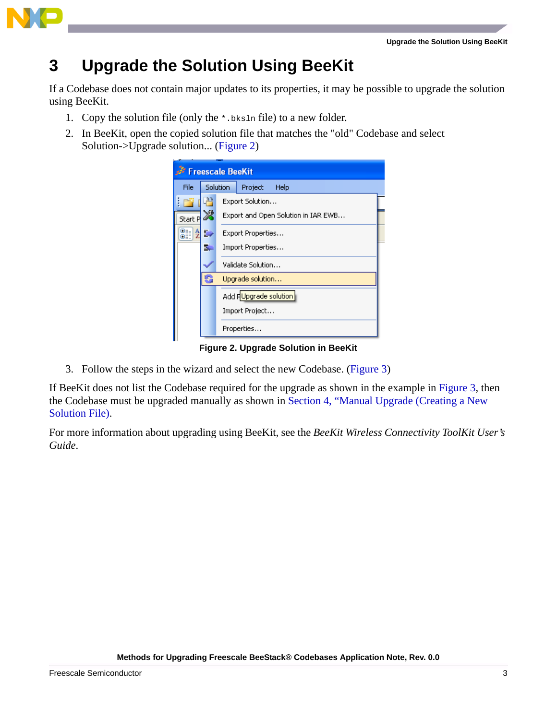

### **3 Upgrade the Solution Using BeeKit**

If a Codebase does not contain major updates to its properties, it may be possible to upgrade the solution using BeeKit.

- 1. Copy the solution file (only the \*.bksln file) to a new folder.
- 2. In BeeKit, open the copied solution file that matches the "old" Codebase and select Solution->Upgrade solution... [\(Figure 2\)](#page-2-0)

| <b>Freescale BeeKit</b> |    |                                     |                 |  |
|-------------------------|----|-------------------------------------|-----------------|--|
| File                    |    | Solution                            | Project<br>Help |  |
| i٣                      |    |                                     | Export Solution |  |
| Start P                 | ⋊  | Export and Open Solution in IAR EWB |                 |  |
| $\frac{A}{Z}$<br>81     | B) | Export Properties                   |                 |  |
|                         | ā. | Import Properties                   |                 |  |
|                         |    | Validate Solution                   |                 |  |
|                         | 5  | Upgrade solution                    |                 |  |
|                         |    | Add HUpgrade solution               |                 |  |
|                         |    |                                     | Import Project  |  |
|                         |    |                                     | Properties      |  |

**Figure 2. Upgrade Solution in BeeKit**

<span id="page-2-0"></span>3. Follow the steps in the wizard and select the new Codebase. [\(Figure 3](#page-3-0))

If BeeKit does not list the Codebase required for the upgrade as shown in the example in [Figure 3](#page-3-0), then the Codebase must be upgraded manually as shown in [Section 4, "Manual Upgrade \(Creating a New](#page-4-0)  [Solution File\)](#page-4-0).

For more information about upgrading using BeeKit, see the *BeeKit Wireless Connectivity ToolKit User's Guide*.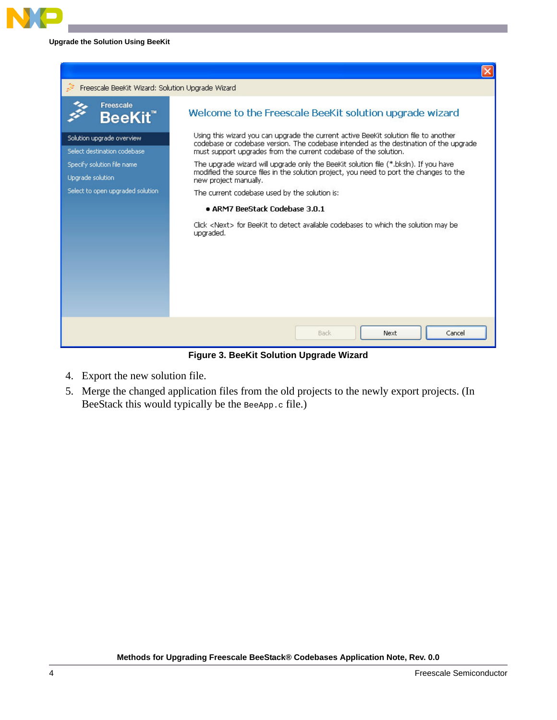### **Upgrade the Solution Using BeeKit**



**Figure 3. BeeKit Solution Upgrade Wizard**

- <span id="page-3-0"></span>4. Export the new solution file.
- 5. Merge the changed application files from the old projects to the newly export projects. (In BeeStack this would typically be the BeeApp.c file.)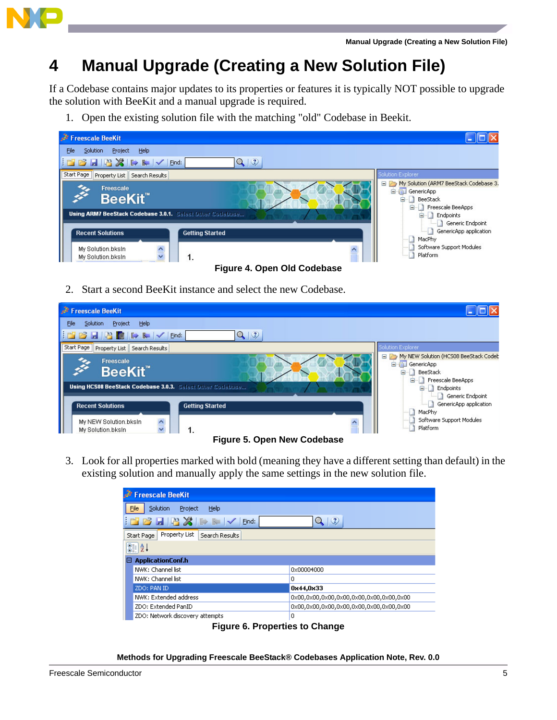

### <span id="page-4-0"></span>**4 Manual Upgrade (Creating a New Solution File)**

If a Codebase contains major updates to its properties or features it is typically NOT possible to upgrade the solution with BeeKit and a manual upgrade is required.

1. Open the existing solution file with the matching "old" Codebase in Beekit.



2. Start a second BeeKit instance and select the new Codebase.



3. Look for all properties marked with bold (meaning they have a different setting than default) in the existing solution and manually apply the same settings in the new solution file.

| <b>Freescale BeeKit</b>                                 |                    |  |  |
|---------------------------------------------------------|--------------------|--|--|
| Solution<br>Eile<br>Project<br><b>Help</b>              |                    |  |  |
| $\mathbb{E} \mathbf{B}$ . The set $\mathbb{E}$<br>Find: | $\mathcal{Q}$<br>Q |  |  |
| Property List<br>Search Results<br>Start Page           |                    |  |  |
| $\sqrt{2}$                                              |                    |  |  |
| <b>ApplicationConf.h</b><br>Θ                           |                    |  |  |
| NWK: Channel list                                       | 0x00004000         |  |  |
| NWK: Channel list                                       | 0                  |  |  |
| ZDO: PAN ID                                             | 0x44,0x33          |  |  |
| NWK: Extended address                                   |                    |  |  |
| ZDO: Extended PanID                                     |                    |  |  |
| ZDO: Network discovery attempts                         | 0                  |  |  |

**Figure 6. Properties to Change**

**Methods for Upgrading Freescale BeeStack® Codebases Application Note, Rev. 0.0**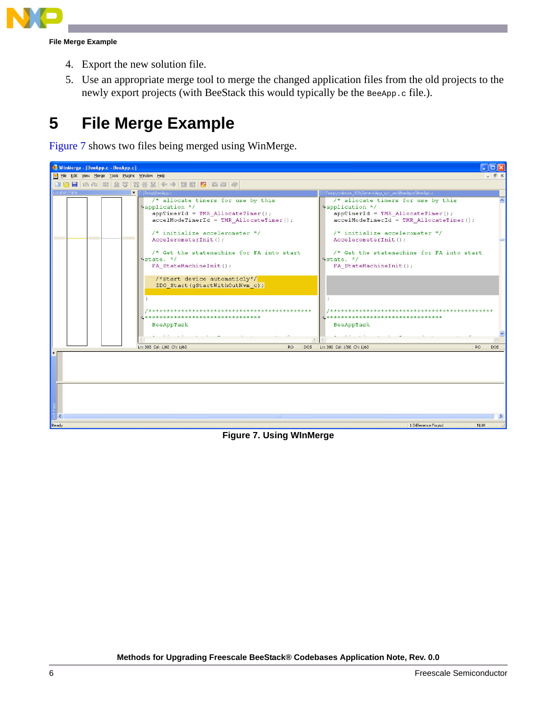

**File Merge Example**

- 4. Export the new solution file.
- 5. Use an appropriate merge tool to merge the changed application files from the old projects to the newly export projects (with BeeStack this would typically be the BeeApp.c file.).

### **5 File Merge Example**

[Figure 7](#page-5-0) shows two files being merged using WinMerge.

<span id="page-5-0"></span>

**Figure 7. Using WInMerge**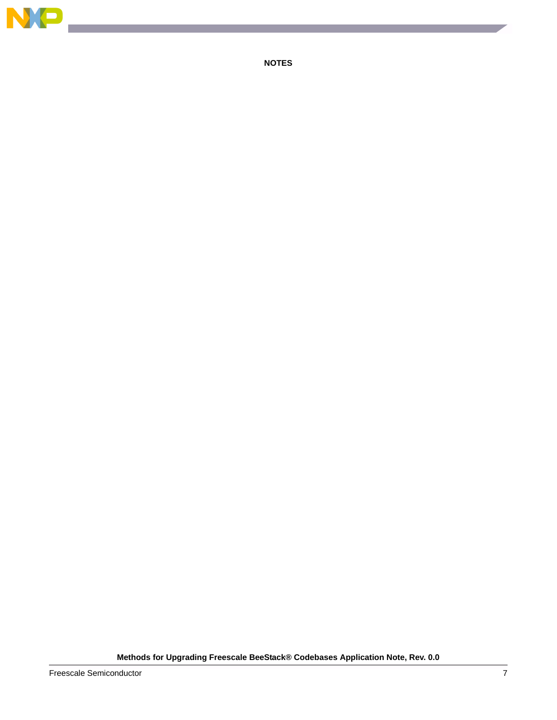

 $\overline{\phantom{a}}$ 

**NOTES**

**Methods for Upgrading Freescale BeeStack® Codebases Application Note, Rev. 0.0**